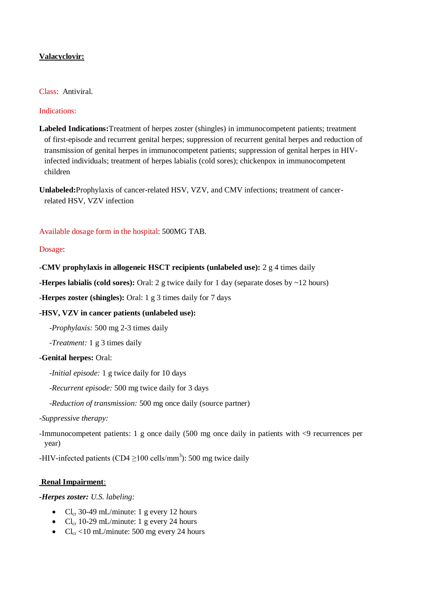# **Valacyclovir:**

## Class: Antiviral.

## Indications:

**Labeled Indications:**Treatment of herpes zoster (shingles) in immunocompetent patients; treatment of first-episode and recurrent genital herpes; suppression of recurrent genital herpes and reduction of transmission of genital herpes in immunocompetent patients; suppression of genital herpes in HIVinfected individuals; treatment of herpes labialis (cold sores); chickenpox in immunocompetent children

**Unlabeled:**Prophylaxis of cancer-related HSV, VZV, and CMV infections; treatment of cancerrelated HSV, VZV infection

Available dosage form in the hospital: 500MG TAB.

# Dosage:

## **-CMV prophylaxis in allogeneic HSCT recipients (unlabeled use):** 2 g 4 times daily

**-Herpes labialis (cold sores):** Oral: 2 g twice daily for 1 day (separate doses by ~12 hours)

**-Herpes zoster (shingles):** Oral: 1 g 3 times daily for 7 days

# **-HSV, VZV in cancer patients (unlabeled use):**

*-Prophylaxis:* 500 mg 2-3 times daily

*-Treatment:* 1 g 3 times daily

## **-Genital herpes:** Oral:

*-Initial episode:* 1 g twice daily for 10 days

*-Recurrent episode:* 500 mg twice daily for 3 days

*-Reduction of transmission:* 500 mg once daily (source partner)

#### *-Suppressive therapy:*

-Immunocompetent patients: 1 g once daily (500 mg once daily in patients with <9 recurrences per year)

-HIV-infected patients (CD4  $\geq$ 100 cells/mm<sup>3</sup>): 500 mg twice daily

## **Renal Impairment**:

*-Herpes zoster: U.S. labeling:*

- $Cl_{cr}$  30-49 mL/minute: 1 g every 12 hours
- $Cl_{cr}$  10-29 mL/minute: 1 g every 24 hours
- $Cl_{cr}$  <10 mL/minute: 500 mg every 24 hours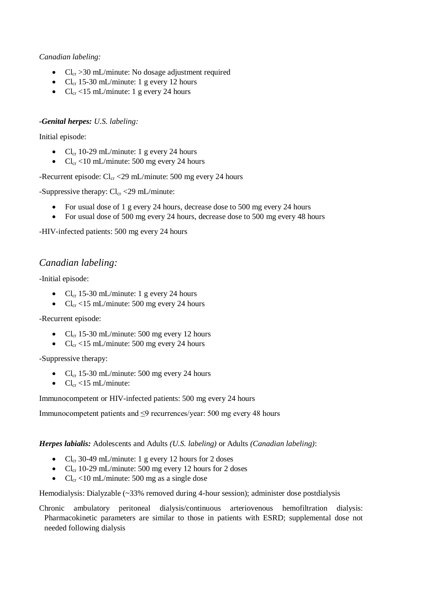# *Canadian labeling:*

- $Cl_{cr} > 30$  mL/minute: No dosage adjustment required
- $Cl_{cr}$  15-30 mL/minute: 1 g every 12 hours
- $Cl_{cr}$  <15 mL/minute: 1 g every 24 hours

# *-Genital herpes: U.S. labeling:*

Initial episode:

- $Cl_{cr}$  10-29 mL/minute: 1 g every 24 hours
- $Cl_{cr}$  <10 mL/minute: 500 mg every 24 hours

-Recurrent episode:  $Cl_{cr}$  <29 mL/minute: 500 mg every 24 hours

-Suppressive therapy:  $Cl_{cr}$  <29 mL/minute:

- For usual dose of 1 g every 24 hours, decrease dose to 500 mg every 24 hours
- For usual dose of 500 mg every 24 hours, decrease dose to 500 mg every 48 hours

-HIV-infected patients: 500 mg every 24 hours

# *Canadian labeling:*

-Initial episode:

- $Cl_{cr}$  15-30 mL/minute: 1 g every 24 hours
- $Cl_{cr}$  <15 mL/minute: 500 mg every 24 hours

-Recurrent episode:

- $Cl_{cr}$  15-30 mL/minute: 500 mg every 12 hours
- $Cl_{cr}$  <15 mL/minute: 500 mg every 24 hours

-Suppressive therapy:

- $Cl_{cr}$  15-30 mL/minute: 500 mg every 24 hours
- $\bullet$  Cl<sub>cr</sub> <15 mL/minute:

Immunocompetent or HIV-infected patients: 500 mg every 24 hours

Immunocompetent patients and ≤9 recurrences/year: 500 mg every 48 hours

*Herpes labialis:* Adolescents and Adults *(U.S. labeling)* or Adults *(Canadian labeling)*:

- Cl<sub>cr</sub> 30-49 mL/minute: 1 g every 12 hours for 2 doses
- Cl<sub>cr</sub> 10-29 mL/minute: 500 mg every 12 hours for 2 doses
- $Cl_{cr}$  <10 mL/minute: 500 mg as a single dose

Hemodialysis: Dialyzable (~33% removed during 4-hour session); administer dose postdialysis

Chronic ambulatory peritoneal dialysis/continuous arteriovenous hemofiltration dialysis: Pharmacokinetic parameters are similar to those in patients with ESRD; supplemental dose not needed following dialysis